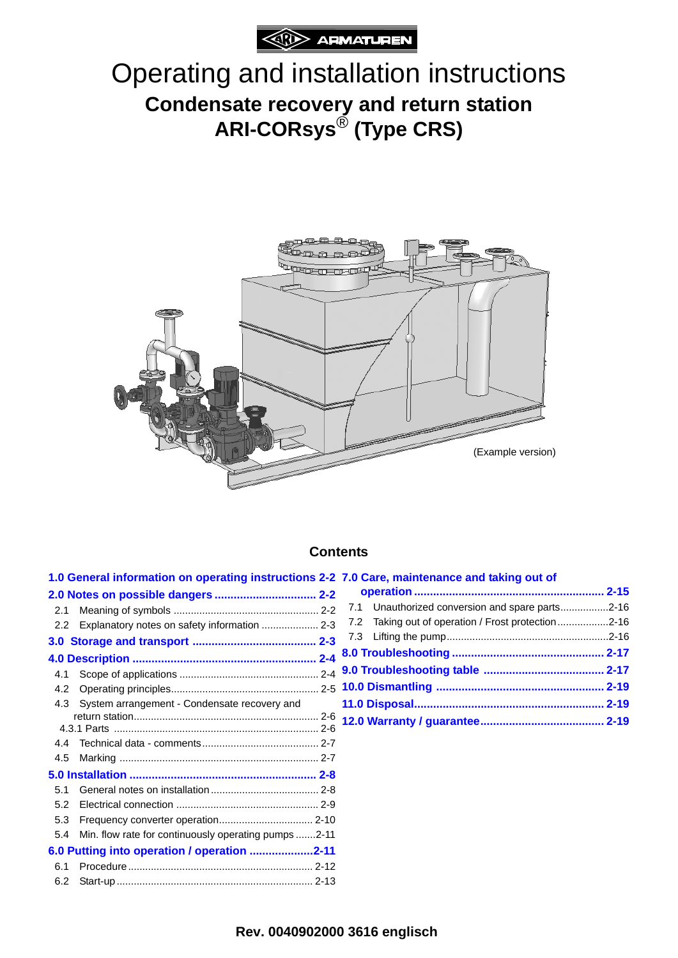

# Operating and installation instructions **Condensate recovery and return station ARI-CORsys**® **(Type CRS)**



#### **Contents**

|     | 1.0 General information on operating instructions 2-2 7.0 Care, maintenance and taking out of |  |                                                        |  |
|-----|-----------------------------------------------------------------------------------------------|--|--------------------------------------------------------|--|
|     |                                                                                               |  |                                                        |  |
| 2.1 |                                                                                               |  | 7.1 Unauthorized conversion and spare parts2-16        |  |
|     | 2.2 Explanatory notes on safety information  2-3                                              |  | Taking out of operation / Frost protection 2-16<br>7.2 |  |
|     |                                                                                               |  |                                                        |  |
|     |                                                                                               |  |                                                        |  |
| 4.1 |                                                                                               |  |                                                        |  |
| 4.2 |                                                                                               |  |                                                        |  |
| 4.3 | System arrangement - Condensate recovery and                                                  |  |                                                        |  |
|     |                                                                                               |  |                                                        |  |
| 4.4 |                                                                                               |  |                                                        |  |
| 4.5 |                                                                                               |  |                                                        |  |
|     |                                                                                               |  |                                                        |  |
| 5.1 |                                                                                               |  |                                                        |  |
| 5.2 |                                                                                               |  |                                                        |  |
| 5.3 |                                                                                               |  |                                                        |  |
| 5.4 | Min. flow rate for continuously operating pumps 2-11                                          |  |                                                        |  |
|     | 6.0 Putting into operation / operation 2-11                                                   |  |                                                        |  |
|     |                                                                                               |  |                                                        |  |

[6.2 Start-up..................................................................... 2-13](#page-12-0)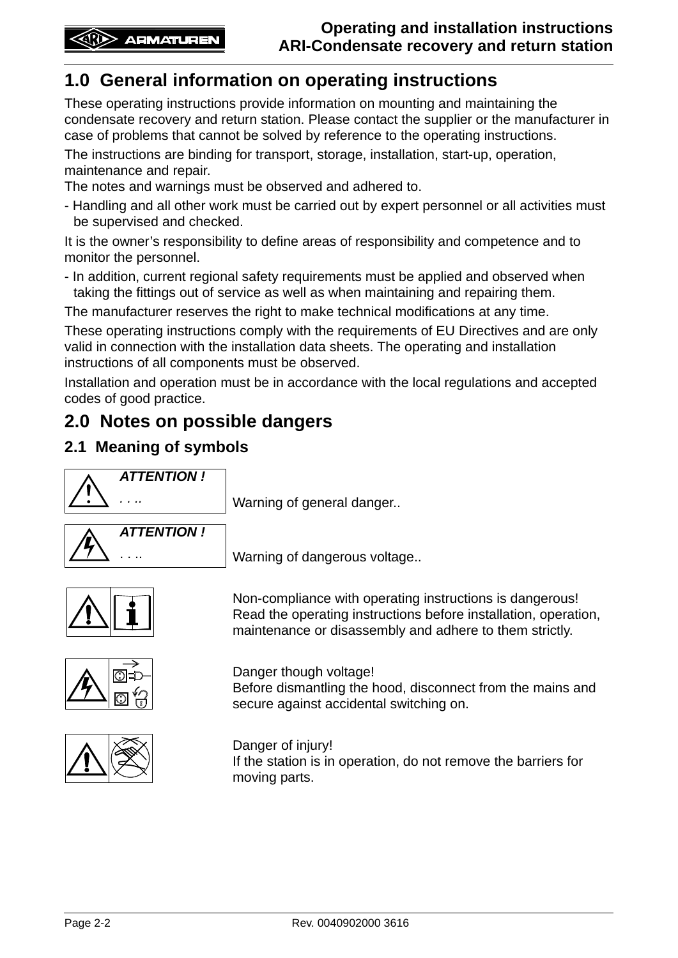# <span id="page-1-0"></span>**1.0 General information on operating instructions**

These operating instructions provide information on mounting and maintaining the condensate recovery and return station. Please contact the supplier or the manufacturer in case of problems that cannot be solved by reference to the operating instructions.

The instructions are binding for transport, storage, installation, start-up, operation, maintenance and repair.

The notes and warnings must be observed and adhered to.

- Handling and all other work must be carried out by expert personnel or all activities must be supervised and checked.

It is the owner's responsibility to define areas of responsibility and competence and to monitor the personnel.

- In addition, current regional safety requirements must be applied and observed when taking the fittings out of service as well as when maintaining and repairing them.

The manufacturer reserves the right to make technical modifications at any time.

These operating instructions comply with the requirements of EU Directives and are only valid in connection with the installation data sheets. The operating and installation instructions of all components must be observed.

Installation and operation must be in accordance with the local regulations and accepted codes of good practice.

# <span id="page-1-1"></span>**2.0 Notes on possible dangers**

## <span id="page-1-2"></span>**2.1 Meaning of symbols**



*....* Warning of general danger..



Warning of dangerous voltage..



Non-compliance with operating instructions is dangerous! Read the operating instructions before installation, operation, maintenance or disassembly and adhere to them strictly.



Danger though voltage! Before dismantling the hood, disconnect from the mains and secure against accidental switching on.



Danger of injury! If the station is in operation, do not remove the barriers for moving parts.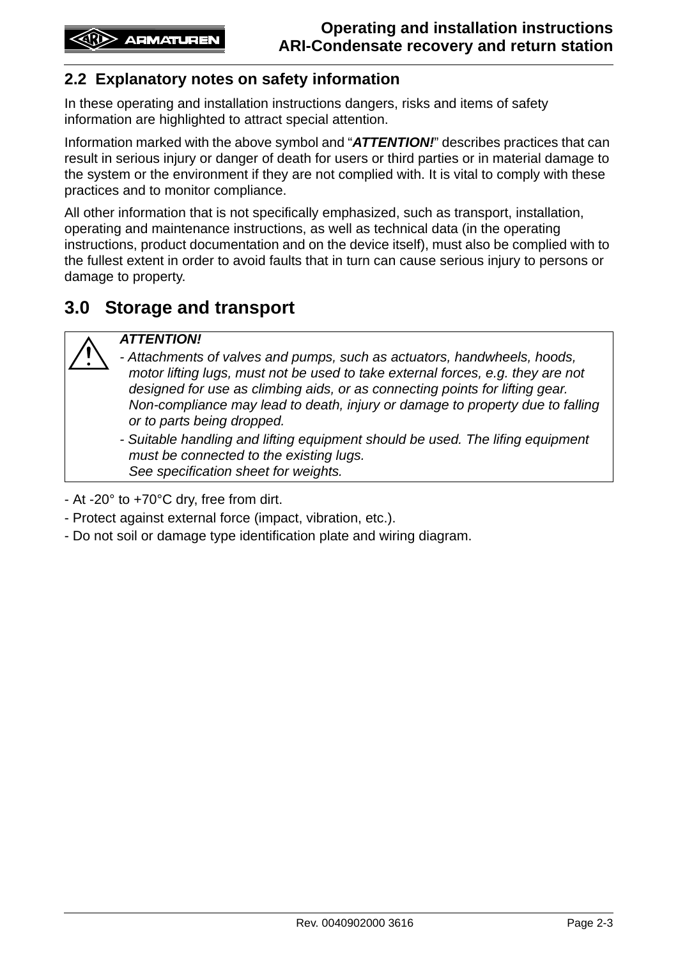# <span id="page-2-0"></span>**2.2 Explanatory notes on safety information**

In these operating and installation instructions dangers, risks and items of safety information are highlighted to attract special attention.

Information marked with the above symbol and "*ATTENTION!*" describes practices that can result in serious injury or danger of death for users or third parties or in material damage to the system or the environment if they are not complied with. It is vital to comply with these practices and to monitor compliance.

All other information that is not specifically emphasized, such as transport, installation, operating and maintenance instructions, as well as technical data (in the operating instructions, product documentation and on the device itself), must also be complied with to the fullest extent in order to avoid faults that in turn can cause serious injury to persons or damage to property.

# <span id="page-2-1"></span>**3.0 Storage and transport**

#### *ATTENTION!*

*- Attachments of valves and pumps, such as actuators, handwheels, hoods, motor lifting lugs, must not be used to take external forces, e.g. they are not designed for use as climbing aids, or as connecting points for lifting gear. Non-compliance may lead to death, injury or damage to property due to falling or to parts being dropped.*

*- Suitable handling and lifting equipment should be used. The lifing equipment must be connected to the existing lugs. See specification sheet for weights.*

- At -20° to +70°C dry, free from dirt.

- Protect against external force (impact, vibration, etc.).
- Do not soil or damage type identification plate and wiring diagram.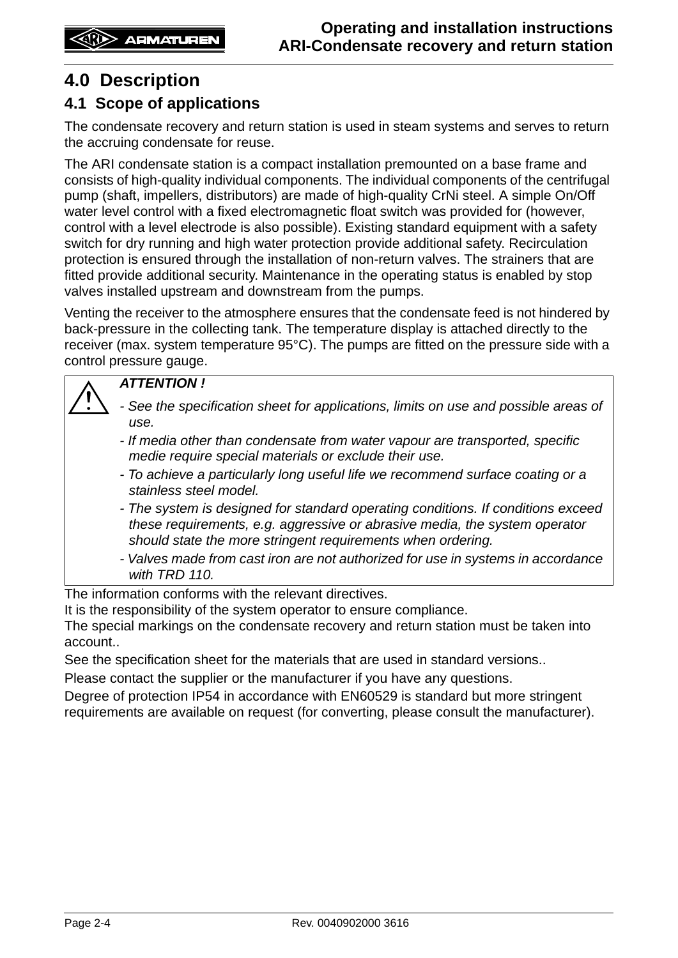# <span id="page-3-0"></span>**4.0 Description**

# <span id="page-3-1"></span>**4.1 Scope of applications**

The condensate recovery and return station is used in steam systems and serves to return the accruing condensate for reuse.

The ARI condensate station is a compact installation premounted on a base frame and consists of high-quality individual components. The individual components of the centrifugal pump (shaft, impellers, distributors) are made of high-quality CrNi steel. A simple On/Off water level control with a fixed electromagnetic float switch was provided for (however, control with a level electrode is also possible). Existing standard equipment with a safety switch for dry running and high water protection provide additional safety. Recirculation protection is ensured through the installation of non-return valves. The strainers that are fitted provide additional security. Maintenance in the operating status is enabled by stop valves installed upstream and downstream from the pumps.

Venting the receiver to the atmosphere ensures that the condensate feed is not hindered by back-pressure in the collecting tank. The temperature display is attached directly to the receiver (max. system temperature 95°C). The pumps are fitted on the pressure side with a control pressure gauge.

#### *ATTENTION !*

- *See the specification sheet for applications, limits on use and possible areas of use.*
	- *If media other than condensate from water vapour are transported, specific medie require special materials or exclude their use.*
	- *To achieve a particularly long useful life we recommend surface coating or a stainless steel model.*
	- *The system is designed for standard operating conditions. If conditions exceed these requirements, e.g. aggressive or abrasive media, the system operator should state the more stringent requirements when ordering.*
	- *Valves made from cast iron are not authorized for use in systems in accordance with TRD 110.*

The information conforms with the relevant directives.

It is the responsibility of the system operator to ensure compliance.

The special markings on the condensate recovery and return station must be taken into account..

See the specification sheet for the materials that are used in standard versions..

Please contact the supplier or the manufacturer if you have any questions.

Degree of protection IP54 in accordance with EN60529 is standard but more stringent requirements are available on request (for converting, please consult the manufacturer).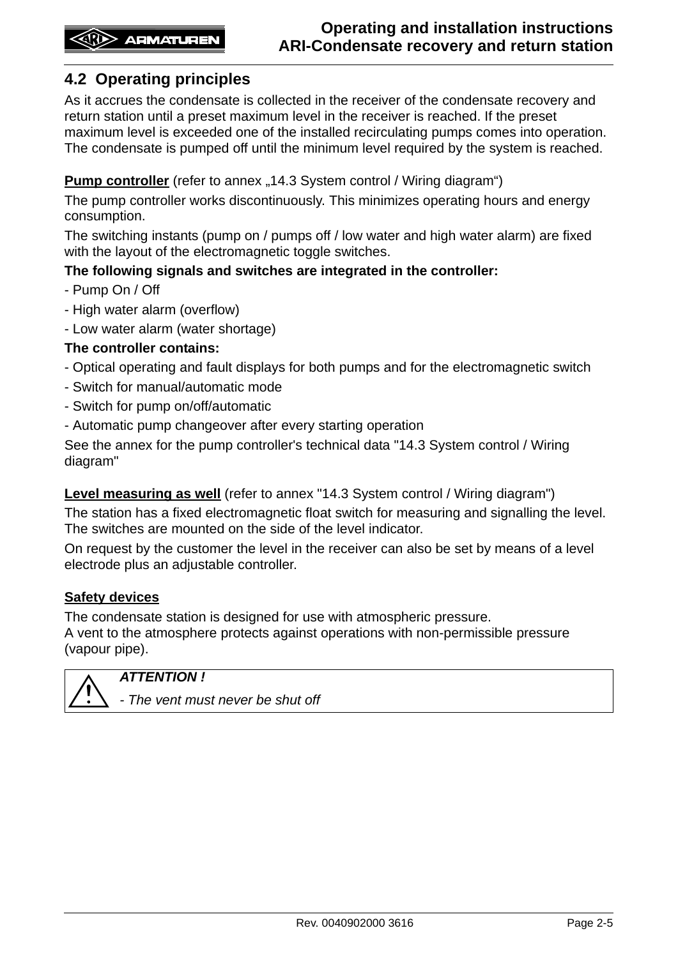# <span id="page-4-0"></span>**4.2 Operating principles**

As it accrues the condensate is collected in the receiver of the condensate recovery and return station until a preset maximum level in the receiver is reached. If the preset maximum level is exceeded one of the installed recirculating pumps comes into operation. The condensate is pumped off until the minimum level required by the system is reached.

#### **Pump controller** (refer to annex "14.3 System control / Wiring diagram")

The pump controller works discontinuously. This minimizes operating hours and energy consumption.

The switching instants (pump on / pumps off / low water and high water alarm) are fixed with the layout of the electromagnetic toggle switches.

#### **The following signals and switches are integrated in the controller:**

- Pump On / Off
- High water alarm (overflow)
- Low water alarm (water shortage)

#### **The controller contains:**

- Optical operating and fault displays for both pumps and for the electromagnetic switch
- Switch for manual/automatic mode
- Switch for pump on/off/automatic
- Automatic pump changeover after every starting operation

See the annex for the pump controller's technical data "14.3 System control / Wiring diagram"

#### **Level measuring as well** (refer to annex "14.3 System control / Wiring diagram")

The station has a fixed electromagnetic float switch for measuring and signalling the level. The switches are mounted on the side of the level indicator.

On request by the customer the level in the receiver can also be set by means of a level electrode plus an adjustable controller.

#### **Safety devices**

The condensate station is designed for use with atmospheric pressure. A vent to the atmosphere protects against operations with non-permissible pressure (vapour pipe).



*ATTENTION !*

*- The vent must never be shut off*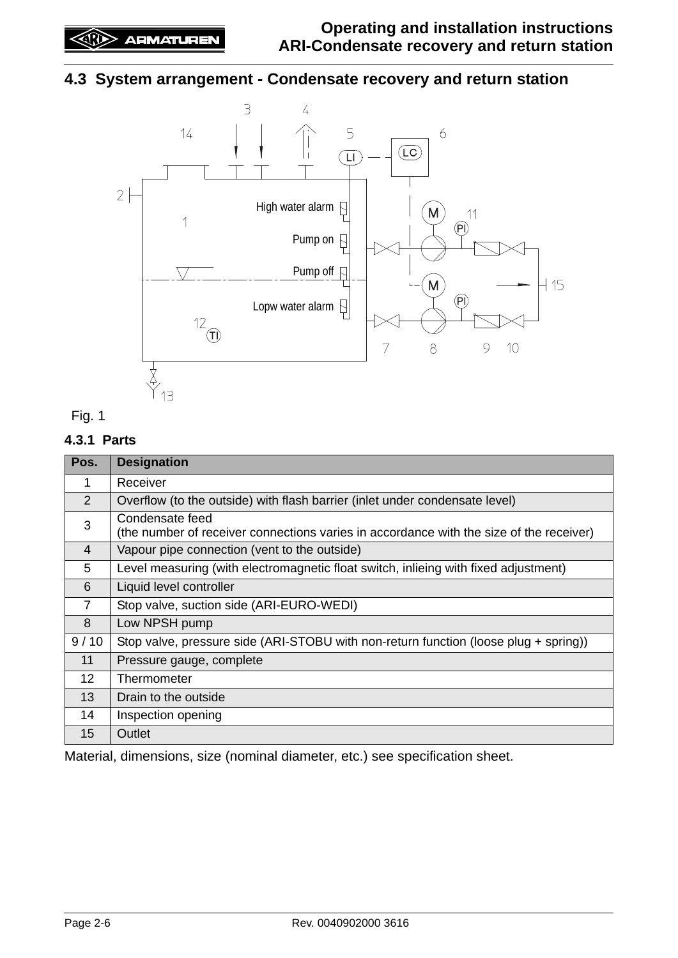# <span id="page-5-0"></span>**4.3 System arrangement - Condensate recovery and return station**





#### <span id="page-5-1"></span>**4.3.1 Parts**

| Pos.            | <b>Designation</b>                                                                                         |
|-----------------|------------------------------------------------------------------------------------------------------------|
| 1               | Receiver                                                                                                   |
| 2               | Overflow (to the outside) with flash barrier (inlet under condensate level)                                |
| 3               | Condensate feed<br>(the number of receiver connections varies in accordance with the size of the receiver) |
| $\overline{4}$  | Vapour pipe connection (vent to the outside)                                                               |
| 5               | Level measuring (with electromagnetic float switch, inlieing with fixed adjustment)                        |
| 6               | Liquid level controller                                                                                    |
| 7               | Stop valve, suction side (ARI-EURO-WEDI)                                                                   |
| 8               | Low NPSH pump                                                                                              |
| 9/10            | Stop valve, pressure side (ARI-STOBU with non-return function (loose plug + spring))                       |
| 11              | Pressure gauge, complete                                                                                   |
| 12 <sup>2</sup> | Thermometer                                                                                                |
| 13              | Drain to the outside                                                                                       |
| 14              | Inspection opening                                                                                         |
| 15              | Outlet                                                                                                     |

Material, dimensions, size (nominal diameter, etc.) see specification sheet.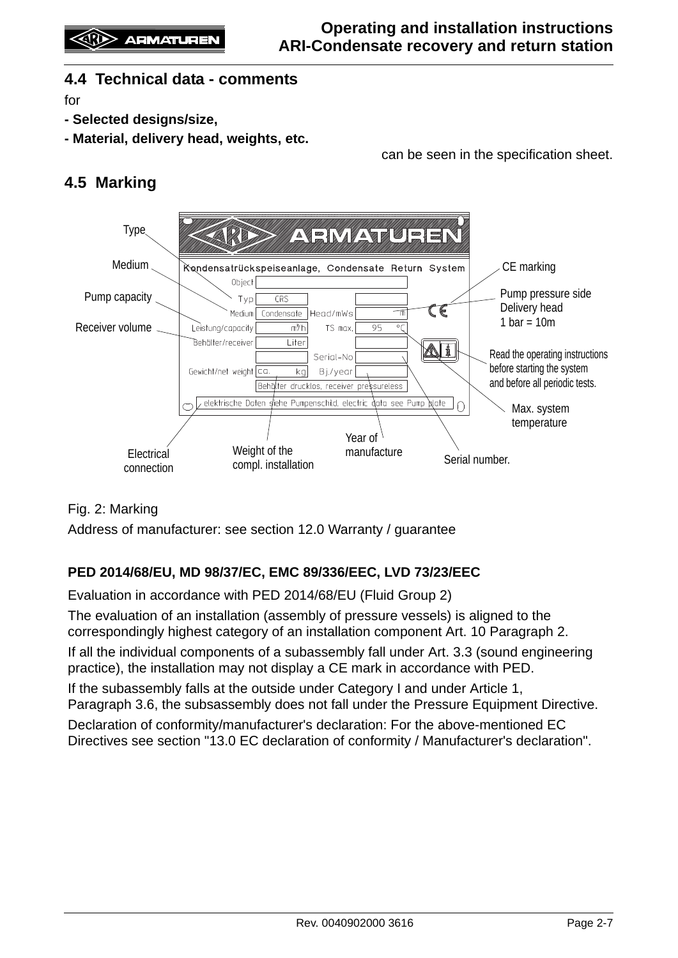## <span id="page-6-0"></span>**4.4 Technical data - comments**

for

- **Selected designs/size,**
- **Material, delivery head, weights, etc.**

can be seen in the specification sheet.

# <span id="page-6-1"></span>**4.5 Marking**



## Fig. 2: Marking

Address of manufacturer: see section [12.0 Warranty / guarantee](#page-18-2)

#### **PED 2014/68/EU, MD 98/37/EC, EMC 89/336/EEC, LVD 73/23/EEC**

Evaluation in accordance with PED 2014/68/EU (Fluid Group 2)

The evaluation of an installation (assembly of pressure vessels) is aligned to the correspondingly highest category of an installation component Art. 10 Paragraph 2.

If all the individual components of a subassembly fall under Art. 3.3 (sound engineering practice), the installation may not display a CE mark in accordance with PED.

If the subassembly falls at the outside under Category I and under Article 1, Paragraph 3.6, the subsassembly does not fall under the Pressure Equipment Directive.

Declaration of conformity/manufacturer's declaration: For the above-mentioned EC Directives see section "13.0 EC declaration of conformity / Manufacturer's declaration".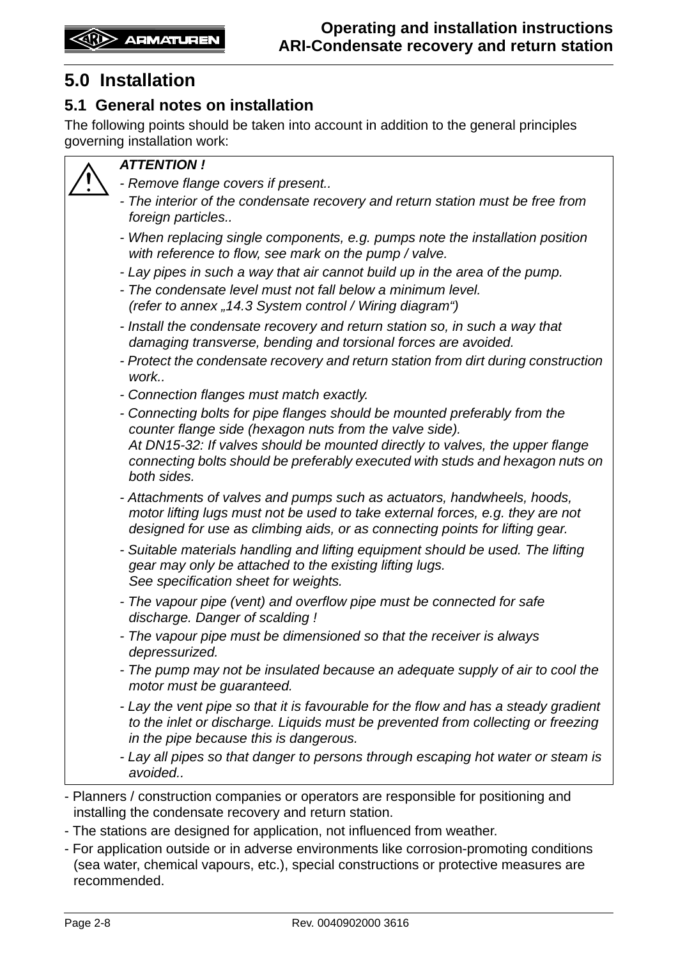# <span id="page-7-0"></span>**5.0 Installation**

## <span id="page-7-1"></span>**5.1 General notes on installation**

The following points should be taken into account in addition to the general principles governing installation work:

#### *ATTENTION !*

- *Remove flange covers if present..*
- *The interior of the condensate recovery and return station must be free from foreign particles..*
- *When replacing single components, e.g. pumps note the installation position with reference to flow, see mark on the pump / valve.*
- *Lay pipes in such a way that air cannot build up in the area of the pump.*
- *The condensate level must not fall below a minimum level. (refer to annex "14.3 System control / Wiring diagram")*
- *Install the condensate recovery and return station so, in such a way that damaging transverse, bending and torsional forces are avoided.*
- *Protect the condensate recovery and return station from dirt during construction work..*
- *Connection flanges must match exactly.*
- *Connecting bolts for pipe flanges should be mounted preferably from the counter flange side (hexagon nuts from the valve side). At DN15-32: If valves should be mounted directly to valves, the upper flange connecting bolts should be preferably executed with studs and hexagon nuts on both sides.*
- *Attachments of valves and pumps such as actuators, handwheels, hoods, motor lifting lugs must not be used to take external forces, e.g. they are not designed for use as climbing aids, or as connecting points for lifting gear.*
- *Suitable materials handling and lifting equipment should be used. The lifting gear may only be attached to the existing lifting lugs. See specification sheet for weights.*
- *The vapour pipe (vent) and overflow pipe must be connected for safe discharge. Danger of scalding !*
- *The vapour pipe must be dimensioned so that the receiver is always depressurized.*
- *The pump may not be insulated because an adequate supply of air to cool the motor must be guaranteed.*
- *Lay the vent pipe so that it is favourable for the flow and has a steady gradient to the inlet or discharge. Liquids must be prevented from collecting or freezing in the pipe because this is dangerous.*
- *Lay all pipes so that danger to persons through escaping hot water or steam is avoided..*
- Planners / construction companies or operators are responsible for positioning and installing the condensate recovery and return station.
- The stations are designed for application, not influenced from weather.
- For application outside or in adverse environments like corrosion-promoting conditions (sea water, chemical vapours, etc.), special constructions or protective measures are recommended.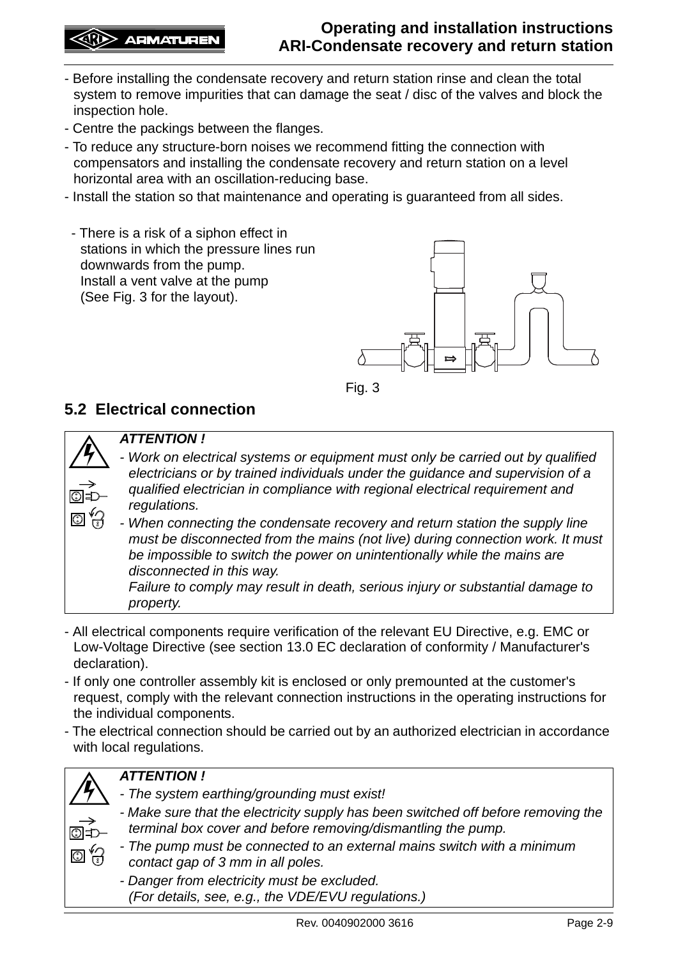## **(R)** ARMATUREN

- Before installing the condensate recovery and return station rinse and clean the total system to remove impurities that can damage the seat / disc of the valves and block the inspection hole.
- Centre the packings between the flanges.
- To reduce any structure-born noises we recommend fitting the connection with compensators and installing the condensate recovery and return station on a level horizontal area with an oscillation-reducing base.
- Install the station so that maintenance and operating is guaranteed from all sides.
- There is a risk of a siphon effect in stations in which the pressure lines run downwards from the pump. Install a vent valve at the pump (See Fig. 3 for the layout).





# <span id="page-8-0"></span>**5.2 Electrical connection**



 $\overline{\bigcirc}$ 

#### *ATTENTION !*

*- Work on electrical systems or equipment must only be carried out by qualified electricians or by trained individuals under the guidance and supervision of a qualified electrician in compliance with regional electrical requirement and regulations.*

*- When connecting the condensate recovery and return station the supply line must be disconnected from the mains (not live) during connection work. It must be impossible to switch the power on unintentionally while the mains are disconnected in this way.* 

*Failure to comply may result in death, serious injury or substantial damage to property.*

- All electrical components require verification of the relevant EU Directive, e.g. EMC or Low-Voltage Directive (see section 13.0 EC declaration of conformity / Manufacturer's declaration).
- If only one controller assembly kit is enclosed or only premounted at the customer's request, comply with the relevant connection instructions in the operating instructions for the individual components.
- The electrical connection should be carried out by an authorized electrician in accordance with local regulations.



## *ATTENTION !*

- *The system earthing/grounding must exist!*
- *Make sure that the electricity supply has been switched off before removing the terminal box cover and before removing/dismantling the pump.*
- *The pump must be connected to an external mains switch with a minimum contact gap of 3 mm in all poles.*

*- Danger from electricity must be excluded. (For details, see, e.g., the VDE/EVU regulations.)*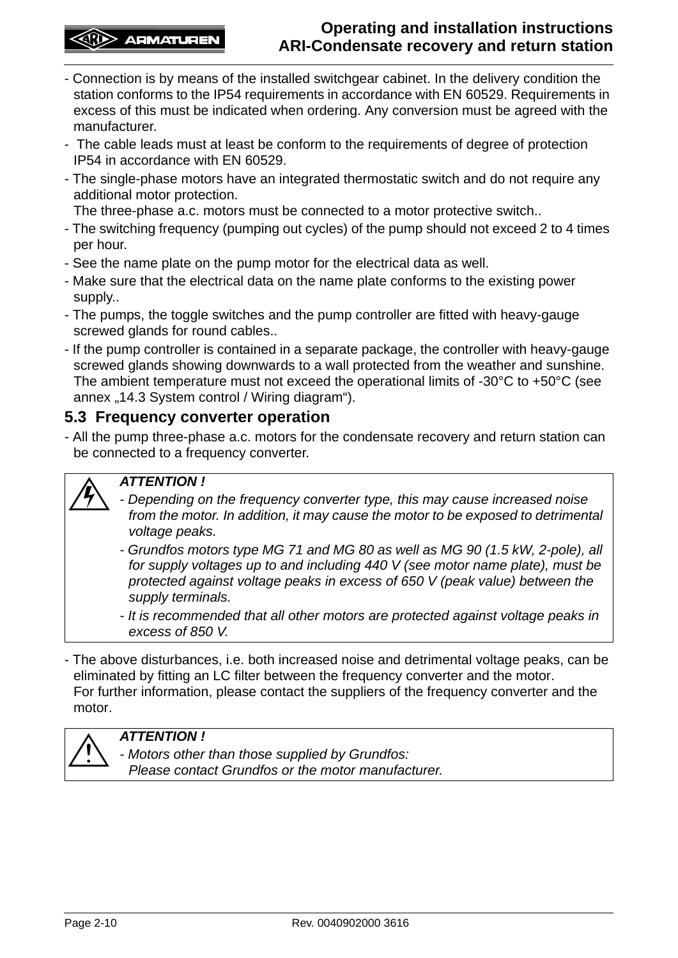- Connection is by means of the installed switchgear cabinet. In the delivery condition the station conforms to the IP54 requirements in accordance with EN 60529. Requirements in excess of this must be indicated when ordering. Any conversion must be agreed with the manufacturer.
- The cable leads must at least be conform to the requirements of degree of protection IP54 in accordance with EN 60529.
- The single-phase motors have an integrated thermostatic switch and do not require any additional motor protection.
	- The three-phase a.c. motors must be connected to a motor protective switch..
- The switching frequency (pumping out cycles) of the pump should not exceed 2 to 4 times per hour.
- See the name plate on the pump motor for the electrical data as well.
- Make sure that the electrical data on the name plate conforms to the existing power supply..
- The pumps, the toggle switches and the pump controller are fitted with heavy-gauge screwed glands for round cables..
- If the pump controller is contained in a separate package, the controller with heavy-gauge screwed glands showing downwards to a wall protected from the weather and sunshine. The ambient temperature must not exceed the operational limits of -30°C to +50°C (see annex "14.3 System control / Wiring diagram").

## <span id="page-9-0"></span>**5.3 Frequency converter operation**

- All the pump three-phase a.c. motors for the condensate recovery and return station can be connected to a frequency converter.

#### *ATTENTION !*

- *Depending on the frequency converter type, this may cause increased noise from the motor. In addition, it may cause the motor to be exposed to detrimental voltage peaks.*
- *Grundfos motors type MG 71 and MG 80 as well as MG 90 (1.5 kW, 2-pole), all for supply voltages up to and including 440 V (see motor name plate), must be protected against voltage peaks in excess of 650 V (peak value) between the supply terminals.*
- *It is recommended that all other motors are protected against voltage peaks in excess of 850 V.*
- The above disturbances, i.e. both increased noise and detrimental voltage peaks, can be eliminated by fitting an LC filter between the frequency converter and the motor. For further information, please contact the suppliers of the frequency converter and the motor.



#### *ATTENTION !*

*- Motors other than those supplied by Grundfos: Please contact Grundfos or the motor manufacturer.*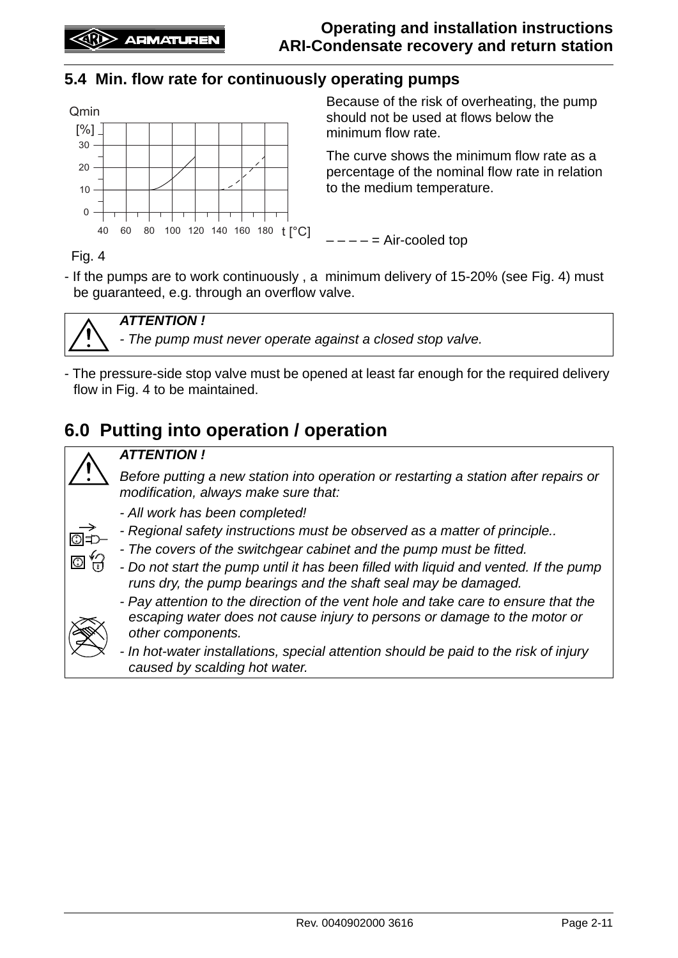## <span id="page-10-0"></span>**5.4 Min. flow rate for continuously operating pumps**



Because of the risk of overheating, the pump should not be used at flows below the minimum flow rate.

The curve shows the minimum flow rate as a percentage of the nominal flow rate in relation to the medium temperature.

 $--- =$  Air-cooled top

Fig. 4

- If the pumps are to work continuously , a minimum delivery of 15-20% (see Fig. 4) must be guaranteed, e.g. through an overflow valve.



## *ATTENTION !*

*- The pump must never operate against a closed stop valve.*

- The pressure-side stop valve must be opened at least far enough for the required delivery flow in Fig. 4 to be maintained.

# <span id="page-10-1"></span>**6.0 Putting into operation / operation**



#### *ATTENTION !*

*Before putting a new station into operation or restarting a station after repairs or modification, always make sure that:*

- *All work has been completed!*
- *Regional safety instructions must be observed as a matter of principle..*
- *The covers of the switchgear cabinet and the pump must be fitted.*
- *Do not start the pump until it has been filled with liquid and vented. If the pump runs dry, the pump bearings and the shaft seal may be damaged.*



O ř

*- Pay attention to the direction of the vent hole and take care to ensure that the escaping water does not cause injury to persons or damage to the motor or other components.*

*- In hot-water installations, special attention should be paid to the risk of injury caused by scalding hot water.*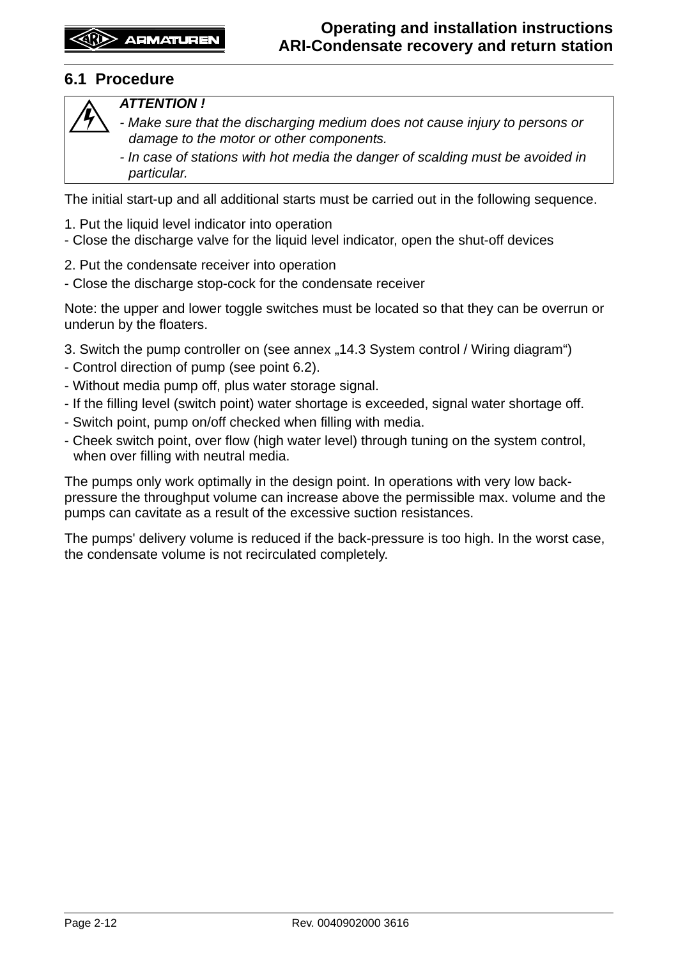## <span id="page-11-0"></span>**6.1 Procedure**



#### *ATTENTION !*

- *Make sure that the discharging medium does not cause injury to persons or damage to the motor or other components.*
- *In case of stations with hot media the danger of scalding must be avoided in particular.*

The initial start-up and all additional starts must be carried out in the following sequence.

- 1. Put the liquid level indicator into operation
- Close the discharge valve for the liquid level indicator, open the shut-off devices
- 2. Put the condensate receiver into operation
- Close the discharge stop-cock for the condensate receiver

Note: the upper and lower toggle switches must be located so that they can be overrun or underun by the floaters.

- 3. Switch the pump controller on (see annex "14.3 System control / Wiring diagram")
- Control direction of pump (see point [6.2\)](#page-12-0).
- Without media pump off, plus water storage signal.
- If the filling level (switch point) water shortage is exceeded, signal water shortage off.
- Switch point, pump on/off checked when filling with media.
- Cheek switch point, over flow (high water level) through tuning on the system control, when over filling with neutral media.

The pumps only work optimally in the design point. In operations with very low backpressure the throughput volume can increase above the permissible max. volume and the pumps can cavitate as a result of the excessive suction resistances.

The pumps' delivery volume is reduced if the back-pressure is too high. In the worst case, the condensate volume is not recirculated completely.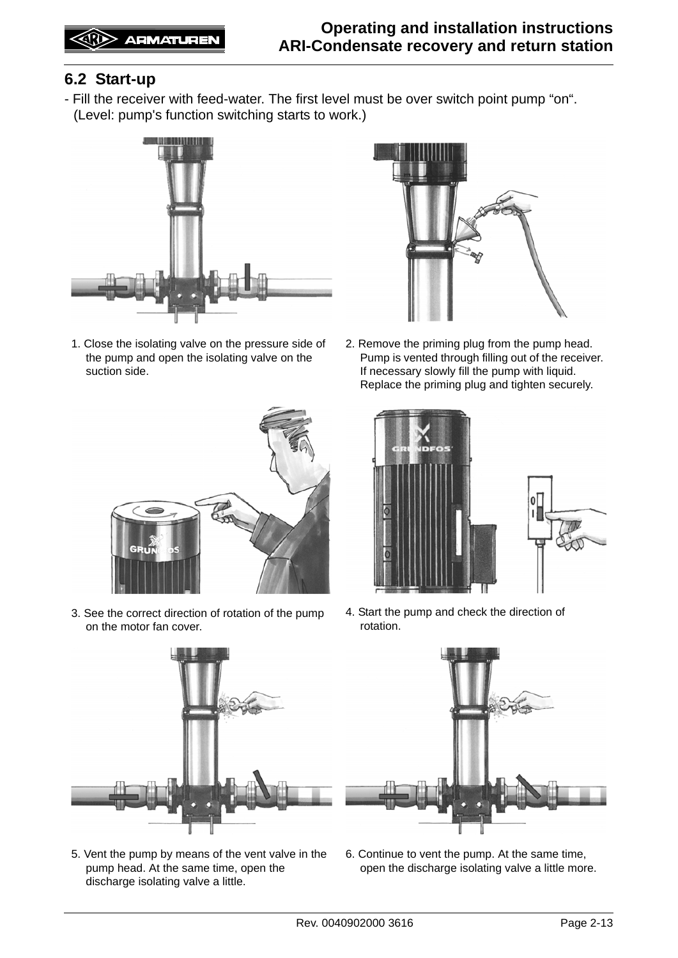## <span id="page-12-0"></span>**6.2 Start-up**

- Fill the receiver with feed-water. The first level must be over switch point pump "on". (Level: pump's function switching starts to work.)



1. Close the isolating valve on the pressure side of the pump and open the isolating valve on the suction side.



2. Remove the priming plug from the pump head. Pump is vented through filling out of the receiver. If necessary slowly fill the pump with liquid. Replace the priming plug and tighten securely.



3. See the correct direction of rotation of the pump on the motor fan cover.





4. Start the pump and check the direction of rotation.



5. Vent the pump by means of the vent valve in the pump head. At the same time, open the discharge isolating valve a little.



6. Continue to vent the pump. At the same time, open the discharge isolating valve a little more.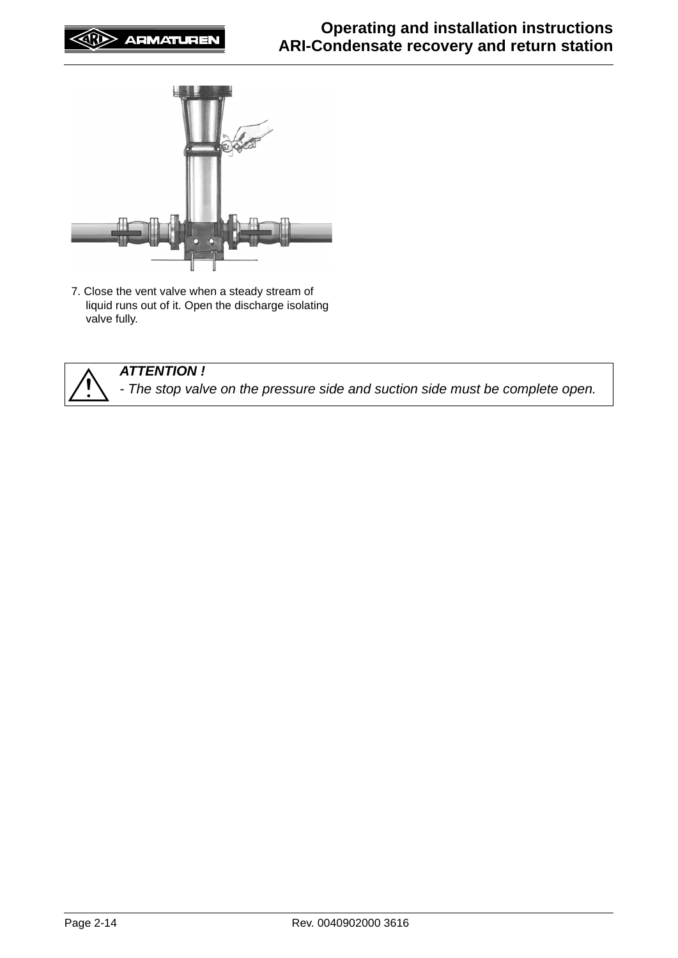

7. Close the vent valve when a steady stream of liquid runs out of it. Open the discharge isolating valve fully.



*ATTENTION ! - The stop valve on the pressure side and suction side must be complete open.*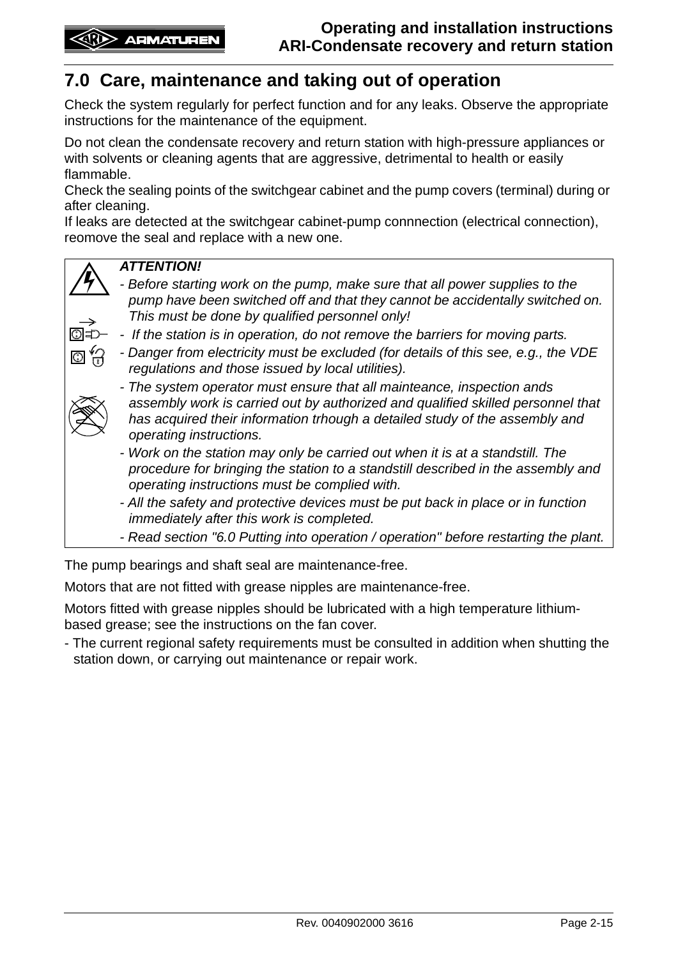# <span id="page-14-0"></span>**7.0 Care, maintenance and taking out of operation**

Check the system regularly for perfect function and for any leaks. Observe the appropriate instructions for the maintenance of the equipment.

Do not clean the condensate recovery and return station with high-pressure appliances or with solvents or cleaning agents that are aggressive, detrimental to health or easily flammable.

Check the sealing points of the switchgear cabinet and the pump covers (terminal) during or after cleaning.

If leaks are detected at the switchgear cabinet-pump connnection (electrical connection), reomove the seal and replace with a new one.



#### *ATTENTION!*

- *Before starting work on the pump, make sure that all power supplies to the pump have been switched off and that they cannot be accidentally switched on. This must be done by qualified personnel only!*
- I©I '
- *If the station is in operation, do not remove the barriers for moving parts.*
- *Danger from electricity must be excluded (for details of this see, e.g., the VDE regulations and those issued by local utilities).*



- *The system operator must ensure that all mainteance, inspection ands assembly work is carried out by authorized and qualified skilled personnel that has acquired their information trhough a detailed study of the assembly and operating instructions.*
- *Work on the station may only be carried out when it is at a standstill. The procedure for bringing the station to a standstill described in the assembly and operating instructions must be complied with.*
- *All the safety and protective devices must be put back in place or in function immediately after this work is completed.*
- *Read section ["6.0 Putting into operation / operation](#page-10-1)" before restarting the plant.*

The pump bearings and shaft seal are maintenance-free.

Motors that are not fitted with grease nipples are maintenance-free.

Motors fitted with grease nipples should be lubricated with a high temperature lithiumbased grease; see the instructions on the fan cover.

- The current regional safety requirements must be consulted in addition when shutting the station down, or carrying out maintenance or repair work.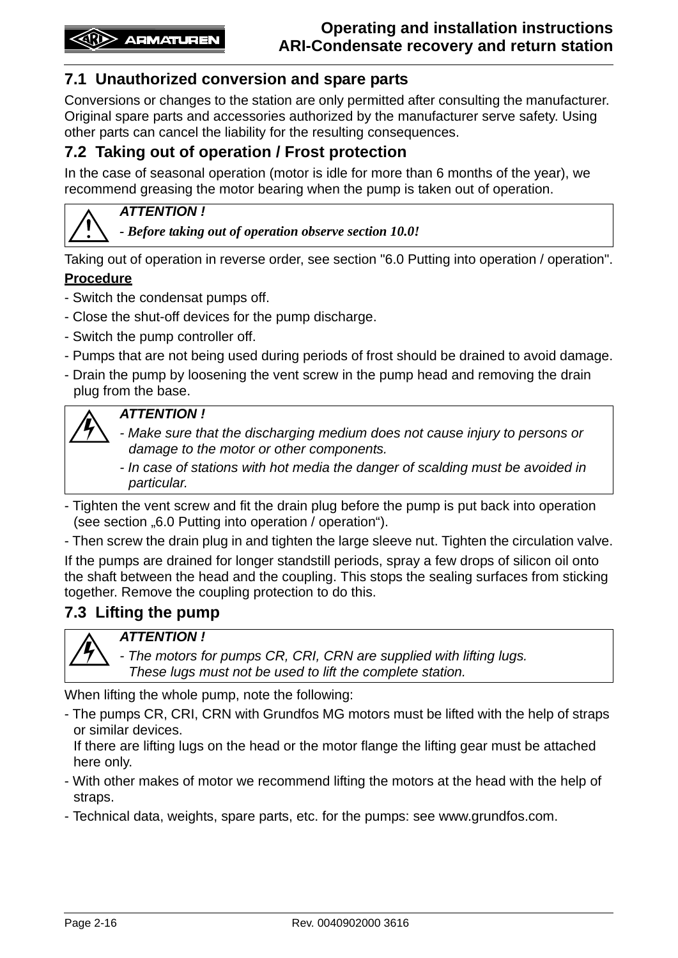## <span id="page-15-0"></span>**7.1 Unauthorized conversion and spare parts**

Conversions or changes to the station are only permitted after consulting the manufacturer. Original spare parts and accessories authorized by the manufacturer serve safety. Using other parts can cancel the liability for the resulting consequences.

## <span id="page-15-1"></span>**7.2 Taking out of operation / Frost protection**

In the case of seasonal operation (motor is idle for more than 6 months of the year), we recommend greasing the motor bearing when the pump is taken out of operation.



#### *ATTENTION !*

*- Before taking out of operation observe section [10.0!](#page-18-0)*

Taking out of operation in reverse order, see section ["6.0 Putting into operation / operation"](#page-10-1).

#### **Procedure**

- Switch the condensat pumps off.
- Close the shut-off devices for the pump discharge.
- Switch the pump controller off.
- Pumps that are not being used during periods of frost should be drained to avoid damage.
- Drain the pump by loosening the vent screw in the pump head and removing the drain plug from the base.

#### *ATTENTION !*

- *Make sure that the discharging medium does not cause injury to persons or damage to the motor or other components.*
- *In case of stations with hot media the danger of scalding must be avoided in particular.*
- Tighten the vent screw and fit the drain plug before the pump is put back into operation (see section ..[6.0 Putting into operation / operation](#page-10-1)").
- Then screw the drain plug in and tighten the large sleeve nut. Tighten the circulation valve.

If the pumps are drained for longer standstill periods, spray a few drops of silicon oil onto the shaft between the head and the coupling. This stops the sealing surfaces from sticking together. Remove the coupling protection to do this.

## <span id="page-15-2"></span>**7.3 Lifting the pump**



*ATTENTION !*

*- The motors for pumps CR, CRI, CRN are supplied with lifting lugs. These lugs must not be used to lift the complete station.*

When lifting the whole pump, note the following:

- The pumps CR, CRI, CRN with Grundfos MG motors must be lifted with the help of straps or similar devices.

If there are lifting lugs on the head or the motor flange the lifting gear must be attached here only.

- With other makes of motor we recommend lifting the motors at the head with the help of straps.
- Technical data, weights, spare parts, etc. for the pumps: see www.grundfos.com.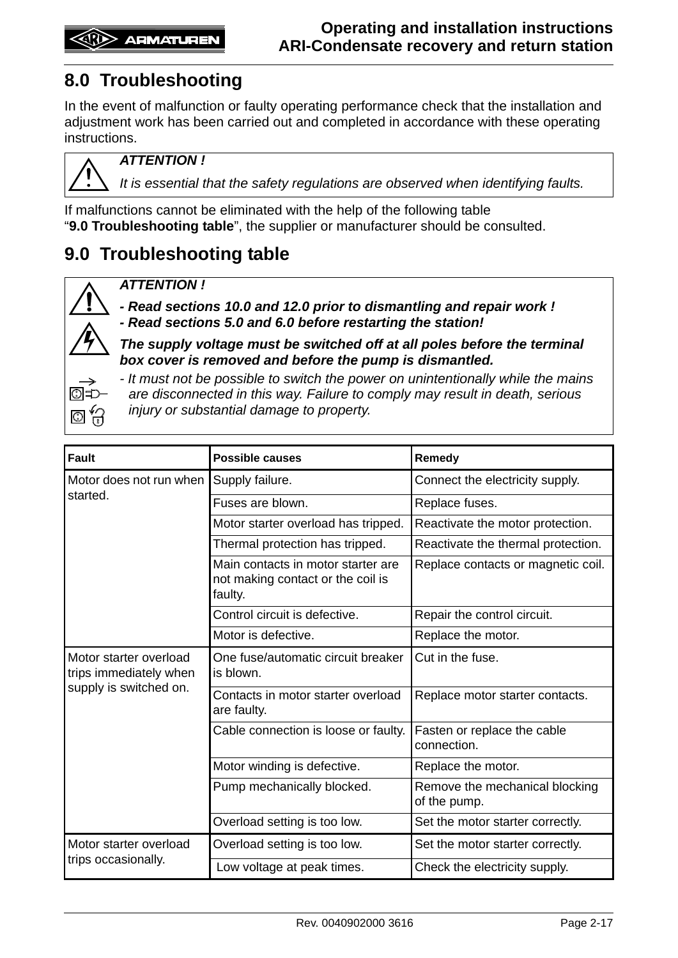# <span id="page-16-0"></span>**8.0 Troubleshooting**

In the event of malfunction or faulty operating performance check that the installation and adjustment work has been carried out and completed in accordance with these operating instructions.



*ATTENTION !*

*It is essential that the safety regulations are observed when identifying faults.*

If malfunctions cannot be eliminated with the help of the following table "**9.0 Troubleshooting table**", the supplier or manufacturer should be consulted.

# <span id="page-16-1"></span>**9.0 Troubleshooting table**



*ATTENTION !* 

*- Read sections [10.0](#page-18-0) and [12.0](#page-18-2) prior to dismantling and repair work ! - Read sections [5.0](#page-7-0) and [6.0](#page-10-1) before restarting the station!*

*The supply voltage must be switched off at all poles before the terminal box cover is removed and before the pump is dismantled.*

*- It must not be possible to switch the power on unintentionally while the mains* 

*are disconnected in this way. Failure to comply may result in death, serious injury or substantial damage to property.*

| <b>Fault</b>                                     | <b>Possible causes</b>                                                             | Remedy                                         |  |  |  |
|--------------------------------------------------|------------------------------------------------------------------------------------|------------------------------------------------|--|--|--|
| Motor does not run when                          | Supply failure.                                                                    | Connect the electricity supply.                |  |  |  |
| started.                                         | Fuses are blown.                                                                   | Replace fuses.                                 |  |  |  |
|                                                  | Motor starter overload has tripped.                                                | Reactivate the motor protection.               |  |  |  |
|                                                  | Thermal protection has tripped.                                                    | Reactivate the thermal protection.             |  |  |  |
|                                                  | Main contacts in motor starter are<br>not making contact or the coil is<br>faulty. | Replace contacts or magnetic coil.             |  |  |  |
|                                                  | Control circuit is defective.                                                      | Repair the control circuit.                    |  |  |  |
|                                                  | Motor is defective.                                                                | Replace the motor.                             |  |  |  |
| Motor starter overload<br>trips immediately when | One fuse/automatic circuit breaker<br>is blown.                                    | Cut in the fuse.                               |  |  |  |
| supply is switched on.                           | Contacts in motor starter overload<br>are faulty.                                  | Replace motor starter contacts.                |  |  |  |
|                                                  | Cable connection is loose or faulty.                                               | Fasten or replace the cable<br>connection.     |  |  |  |
|                                                  | Motor winding is defective.                                                        | Replace the motor.                             |  |  |  |
|                                                  | Pump mechanically blocked.                                                         | Remove the mechanical blocking<br>of the pump. |  |  |  |
|                                                  | Overload setting is too low.                                                       | Set the motor starter correctly.               |  |  |  |
| Motor starter overload                           | Overload setting is too low.                                                       | Set the motor starter correctly.               |  |  |  |
| trips occasionally.                              | Low voltage at peak times.                                                         | Check the electricity supply.                  |  |  |  |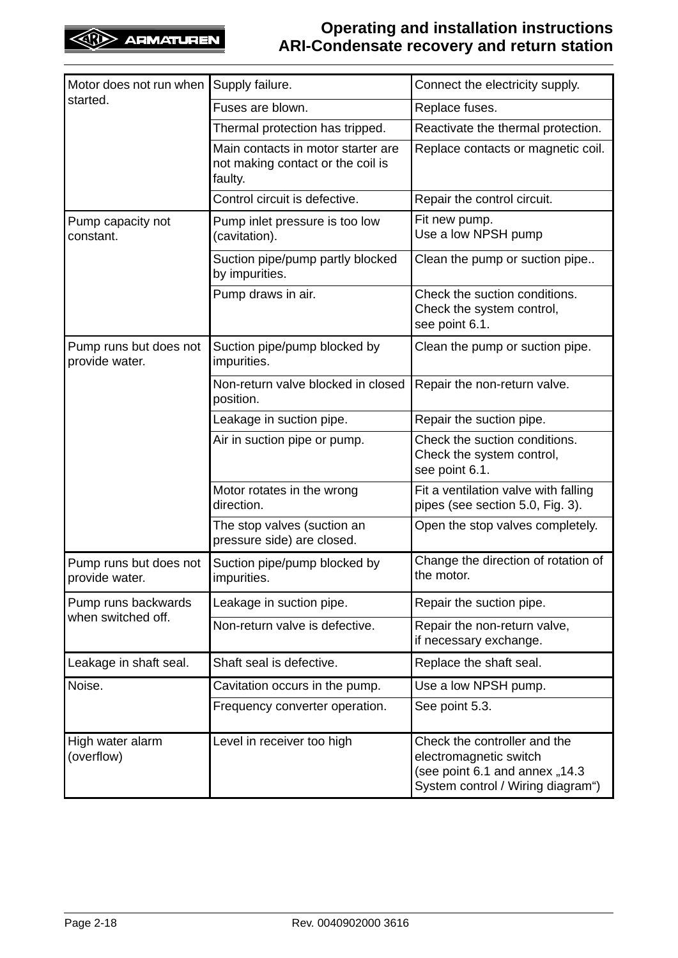## **Operating and installation instructions ARI-Condensate recovery and return station**

| Motor does not run when                  | Supply failure.                                                                    | Connect the electricity supply.                                                                                               |
|------------------------------------------|------------------------------------------------------------------------------------|-------------------------------------------------------------------------------------------------------------------------------|
| started.                                 | Fuses are blown.                                                                   | Replace fuses.                                                                                                                |
|                                          | Thermal protection has tripped.                                                    | Reactivate the thermal protection.                                                                                            |
|                                          | Main contacts in motor starter are<br>not making contact or the coil is<br>faulty. | Replace contacts or magnetic coil.                                                                                            |
|                                          | Control circuit is defective.                                                      | Repair the control circuit.                                                                                                   |
| Pump capacity not<br>constant.           | Pump inlet pressure is too low<br>(cavitation).                                    | Fit new pump.<br>Use a low NPSH pump                                                                                          |
|                                          | Suction pipe/pump partly blocked<br>by impurities.                                 | Clean the pump or suction pipe                                                                                                |
|                                          | Pump draws in air.                                                                 | Check the suction conditions.<br>Check the system control,<br>see point 6.1.                                                  |
| Pump runs but does not<br>provide water. | Suction pipe/pump blocked by<br>impurities.                                        | Clean the pump or suction pipe.                                                                                               |
|                                          | Non-return valve blocked in closed<br>position.                                    | Repair the non-return valve.                                                                                                  |
|                                          | Leakage in suction pipe.                                                           | Repair the suction pipe.                                                                                                      |
|                                          | Air in suction pipe or pump.                                                       | Check the suction conditions.<br>Check the system control,<br>see point 6.1.                                                  |
|                                          | Motor rotates in the wrong<br>direction.                                           | Fit a ventilation valve with falling<br>pipes (see section 5.0, Fig. 3).                                                      |
|                                          | The stop valves (suction an<br>pressure side) are closed.                          | Open the stop valves completely.                                                                                              |
| Pump runs but does not<br>provide water. | Suction pipe/pump blocked by<br>impurities.                                        | Change the direction of rotation of<br>the motor.                                                                             |
| Pump runs backwards                      | Leakage in suction pipe.                                                           | Repair the suction pipe.                                                                                                      |
| when switched off.                       | Non-return valve is defective.                                                     | Repair the non-return valve,<br>if necessary exchange.                                                                        |
| Leakage in shaft seal.                   | Shaft seal is defective.                                                           | Replace the shaft seal.                                                                                                       |
| Noise.                                   | Cavitation occurs in the pump.                                                     | Use a low NPSH pump.                                                                                                          |
|                                          | Frequency converter operation.                                                     | See point 5.3.                                                                                                                |
| High water alarm<br>(overflow)           | Level in receiver too high                                                         | Check the controller and the<br>electromagnetic switch<br>(see point 6.1 and annex "14.3<br>System control / Wiring diagram") |